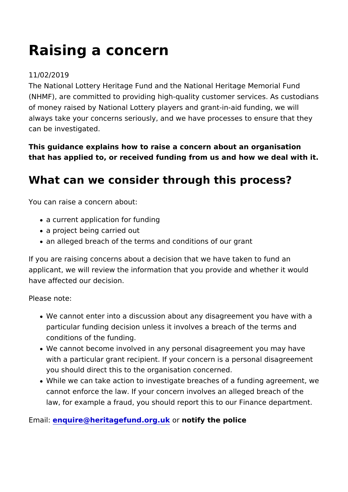# Raising a concern

#### 11/02/2019

The National Lottery Heritage Fund and the National Heritage M (NHMF), are committed to providing high-quality customer servi of money raised by National Lottery players and grant-in-aid fu always take your concerns seriously, and we have processes to can be investigated.

This guidance explains how to raise a concern about an organis that has applied to, or received funding from us and how we deal

#### What can we consider through this process

You can raise a concern about:

- a current application for funding
- a project being carried out
- an alleged breach of the terms and conditions of our grant

If you are raising concerns about a decision that we have taken applicant, we will review the information that you provide and w have affected our decision.

Please note:

- We cannot enter into a discussion about any disagreement y particular funding decision unless it involves a breach of th conditions of the funding.
- We cannot become involved in any personal disagreement yo with a particular grant recipient. If your concern is a persor you should direct this to the organisation concerned.
- . While we can take action to investigate breaches of a fundir cannot enforce the law. If your concern involves an alleged law, for example a fraud, you should report this to our Finar

 $E$  maile: nquire  $@$  heritage fund. or notify the police